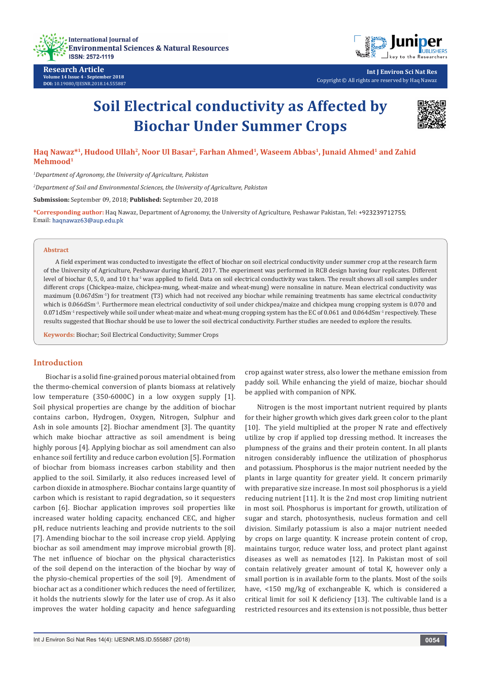

**Research Article Volume 14 Issue 4 - September 2018 DOI:** [10.19080/IJESNR.2018.14.555887](http://dx.doi.org/10.19080/IJESNR.2018.14.555887)



**Int J Environ Sci Nat Res** Copyright © All rights are reserved by Haq Nawaz

# **Soil Electrical conductivity as Affected by Biochar Under Summer Crops**



**Haq Nawaz\*1, Hudood Ullah2, Noor Ul Basar2, Farhan Ahmed1, Waseem Abbas1, Junaid Ahmed1 and Zahid Mehmood1**

*1 Department of Agronomy, the University of Agriculture, Pakistan*

*2 Department of Soil and Environmental Sciences, the University of Agriculture, Pakistan*

**Submission:** September 09, 2018; **Published:** September 20, 2018

\*Corresponding author: Haq Nawaz, Department of Agronomy, the University of Agriculture, Peshawar Pakistan, Tel: +923239712755; Email: haqnawaz63@aup.edu.pk

#### **Abstract**

A field experiment was conducted to investigate the effect of biochar on soil electrical conductivity under summer crop at the research farm of the University of Agriculture, Peshawar during kharif, 2017. The experiment was performed in RCB design having four replicates. Different level of biochar 0, 5, 0, and 10 t ha<sup>-1</sup> was applied to field. Data on soil electrical conductivity was taken. The result shows all soil samples under different crops (Chickpea-maize, chickpea-mung, wheat-maize and wheat-mung) were nonsaline in nature. Mean electrical conductivity was maximum (0.067dSm-1) for treatment (T3) which had not received any biochar while remaining treatments has same electrical conductivity which is 0.066dSm<sup>-1</sup>. Furthermore mean electrical conductivity of soil under chickpea/maize and chickpea mung cropping system is 0.070 and 0.071dSm<sup>-1</sup> respectively while soil under wheat-maize and wheat-mung cropping system has the EC of 0.061 and 0.064dSm<sup>-1</sup> respectively. These results suggested that Biochar should be use to lower the soil electrical conductivity. Further studies are needed to explore the results.

**Keywords:** Biochar; Soil Electrical Conductivity; Summer Crops

## **Introduction**

Biochar is a solid fine-grained porous material obtained from the thermo-chemical conversion of plants biomass at relatively low temperature (350-6000C) in a low oxygen supply [1]. Soil physical properties are change by the addition of biochar contains carbon, Hydrogen, Oxygen, Nitrogen, Sulphur and Ash in sole amounts [2]. Biochar amendment [3]. The quantity which make biochar attractive as soil amendment is being highly porous [4]. Applying biochar as soil amendment can also enhance soil fertility and reduce carbon evolution [5]. Formation of biochar from biomass increases carbon stability and then applied to the soil. Similarly, it also reduces increased level of carbon dioxide in atmosphere. Biochar contains large quantity of carbon which is resistant to rapid degradation, so it sequesters carbon [6]. Biochar application improves soil properties like increased water holding capacity, enchanced CEC, and higher pH, reduce nutrients leaching and provide nutrients to the soil [7]. Amending biochar to the soil increase crop yield. Applying biochar as soil amendment may improve microbial growth [8]. The net influence of biochar on the physical characteristics of the soil depend on the interaction of the biochar by way of the physio-chemical properties of the soil [9]. Amendment of biochar act as a conditioner which reduces the need of fertilizer, it holds the nutrients slowly for the later use of crop. As it also improves the water holding capacity and hence safeguarding

crop against water stress, also lower the methane emission from paddy soil. While enhancing the yield of maize, biochar should be applied with companion of NPK.

Nitrogen is the most important nutrient required by plants for their higher growth which gives dark green color to the plant [10]. The yield multiplied at the proper N rate and effectively utilize by crop if applied top dressing method. It increases the plumpness of the grains and their protein content. In all plants nitrogen considerably influence the utilization of phosphorus and potassium. Phosphorus is the major nutrient needed by the plants in large quantity for greater yield. It concern primarily with preparative size increase. In most soil phosphorus is a yield reducing nutrient [11]. It is the 2nd most crop limiting nutrient in most soil. Phosphorus is important for growth, utilization of sugar and starch, photosynthesis, nucleus formation and cell division. Similarly potassium is also a major nutrient needed by crops on large quantity. K increase protein content of crop, maintains turgor, reduce water loss, and protect plant against diseases as well as nematodes [12]. In Pakistan most of soil contain relatively greater amount of total K, however only a small portion is in available form to the plants. Most of the soils have, <150 mg/kg of exchangeable K, which is considered a critical limit for soil K deficiency [13]. The cultivable land is a restricted resources and its extension is not possible, thus better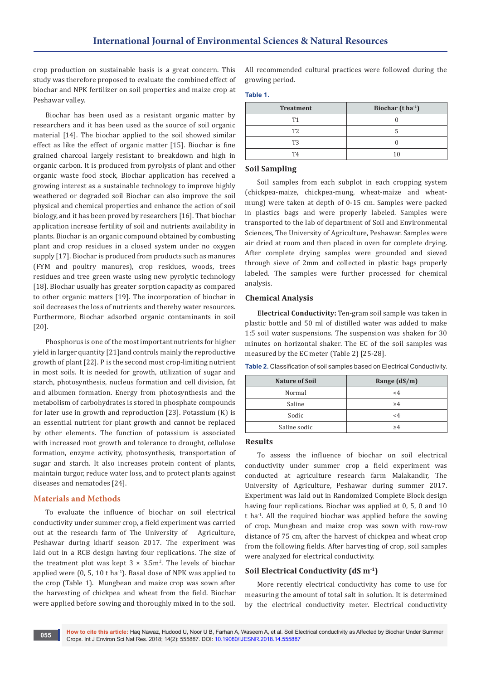crop production on sustainable basis is a great concern. This study was therefore proposed to evaluate the combined effect of biochar and NPK fertilizer on soil properties and maize crop at Peshawar valley.

Biochar has been used as a resistant organic matter by researchers and it has been used as the source of soil organic material [14]. The biochar applied to the soil showed similar effect as like the effect of organic matter [15]. Biochar is fine grained charcoal largely resistant to breakdown and high in organic carbon. It is produced from pyrolysis of plant and other organic waste food stock, Biochar application has received a growing interest as a sustainable technology to improve highly weathered or degraded soil Biochar can also improve the soil physical and chemical properties and enhance the action of soil biology, and it has been proved by researchers [16]. That biochar application increase fertility of soil and nutrients availability in plants. Biochar is an organic compound obtained by combusting plant and crop residues in a closed system under no oxygen supply [17]. Biochar is produced from products such as manures (FYM and poultry manures), crop residues, woods, trees residues and tree green waste using new pyrolytic technology [18]. Biochar usually has greater sorption capacity as compared to other organic matters [19]. The incorporation of biochar in soil decreases the loss of nutrients and thereby water resources. Furthermore, Biochar adsorbed organic contaminants in soil [20].

Phosphorus is one of the most important nutrients for higher yield in larger quantity [21]and controls mainly the reproductive growth of plant [22]. P is the second most crop-limiting nutrient in most soils. It is needed for growth, utilization of sugar and starch, photosynthesis, nucleus formation and cell division, fat and albumen formation. Energy from photosynthesis and the metabolism of carbohydrates is stored in phosphate compounds for later use in growth and reproduction [23]. Potassium (K) is an essential nutrient for plant growth and cannot be replaced by other elements. The function of potassium is associated with increased root growth and tolerance to drought, cellulose formation, enzyme activity, photosynthesis, transportation of sugar and starch. It also increases protein content of plants, maintain turgor, reduce water loss, and to protect plants against diseases and nematodes [24].

# **Materials and Methods**

To evaluate the influence of biochar on soil electrical conductivity under summer crop, a field experiment was carried out at the research farm of The University of Agriculture, Peshawar during kharif season 2017. The experiment was laid out in a RCB design having four replications. The size of the treatment plot was kept  $3 \times 3.5$ m<sup>2</sup>. The levels of biochar applied were  $(0, 5, 10 \text{ t} \text{ ha}^{-1})$ . Basal dose of NPK was applied to the crop (Table 1). Mungbean and maize crop was sown after the harvesting of chickpea and wheat from the field. Biochar were applied before sowing and thoroughly mixed in to the soil. All recommended cultural practices were followed during the growing period.

#### **Table 1.**

| <b>Treatment</b> | Biochar $(t \, ha^{-1})$ |  |  |
|------------------|--------------------------|--|--|
| T1               |                          |  |  |
| T <sub>2</sub>   |                          |  |  |
| T3               |                          |  |  |
| T4               |                          |  |  |

#### **Soil Sampling**

Soil samples from each subplot in each cropping system (chickpea-maize, chickpea-mung, wheat-maize and wheatmung) were taken at depth of 0-15 cm. Samples were packed in plastics bags and were properly labeled. Samples were transported to the lab of department of Soil and Environmental Sciences, The University of Agriculture, Peshawar. Samples were air dried at room and then placed in oven for complete drying. After complete drying samples were grounded and sieved through sieve of 2mm and collected in plastic bags properly labeled. The samples were further processed for chemical analysis.

#### **Chemical Analysis**

**Electrical Conductivity:** Ten-gram soil sample was taken in plastic bottle and 50 ml of distilled water was added to make 1:5 soil water suspensions. The suspension was shaken for 30 minutes on horizontal shaker. The EC of the soil samples was measured by the EC meter (Table 2) [25-28].

| <b>Table 2.</b> Classification of soil samples based on Electrical Conductivity. |  |  |
|----------------------------------------------------------------------------------|--|--|
|                                                                                  |  |  |

| <b>Nature of Soil</b> | Range $(dS/m)$ |  |  |
|-----------------------|----------------|--|--|
| Normal                | $\leq 4$       |  |  |
| Saline                | >4             |  |  |
| Sodic                 | <4             |  |  |
| Saline sodic          | >4             |  |  |

## **Results**

To assess the influence of biochar on soil electrical conductivity under summer crop a field experiment was conducted at agriculture research farm Malakandir, The University of Agriculture, Peshawar during summer 2017. Experiment was laid out in Randomized Complete Block design having four replications. Biochar was applied at 0, 5, 0 and 10 t ha-1. All the required biochar was applied before the sowing of crop. Mungbean and maize crop was sown with row-row distance of 75 cm, after the harvest of chickpea and wheat crop from the following fields. After harvesting of crop, soil samples were analyzed for electrical conductivity.

# **Soil Electrical Conductivity (dS m-1)**

More recently electrical conductivity has come to use for measuring the amount of total salt in solution. It is determined by the electrical conductivity meter. Electrical conductivity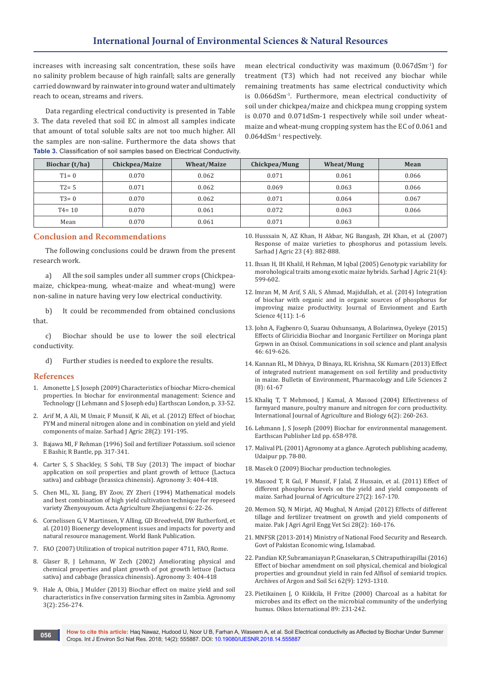increases with increasing salt concentration, these soils have no salinity problem because of high rainfall; salts are generally carried downward by rainwater into ground water and ultimately reach to ocean, streams and rivers.

Data regarding electrical conductivity is presented in Table 3. The data reveled that soil EC in almost all samples indicate that amount of total soluble salts are not too much higher. All the samples are non-saline. Furthermore the data shows that **Table 3.** Classification of soil samples based on Electrical Conductivity. mean electrical conductivity was maximum (0.067dSm-1) for treatment (T3) which had not received any biochar while remaining treatments has same electrical conductivity which is 0.066dSm-1. Furthermore, mean electrical conductivity of soil under chickpea/maize and chickpea mung cropping system is 0.070 and 0.071dSm-1 respectively while soil under wheatmaize and wheat-mung cropping system has the EC of 0.061 and 0.064dSm-1 respectively.

| Biochar (t/ha) | Chickpea/Maize | <b>Wheat/Maize</b> | Chickpea/Mung | Wheat/Mung | Mean  |
|----------------|----------------|--------------------|---------------|------------|-------|
| $T1 = 0$       | 0.070          | 0.062              | 0.071         | 0.061      | 0.066 |
| $T2 = 5$       | 0.071          | 0.062              | 0.069         | 0.063      | 0.066 |
| $T3 = 0$       | 0.070          | 0.062              | 0.071         | 0.064      | 0.067 |
| $T4 = 10$      | 0.070          | 0.061              | 0.072         | 0.063      | 0.066 |
| Mean           | 0.070          | 0.061              | 0.071         | 0.063      |       |

# **Conclusion and Recommendations**

The following conclusions could be drawn from the present research work.

a) All the soil samples under all summer crops (Chickpeamaize, chickpea-mung, wheat-maize and wheat-mung) were non-saline in nature having very low electrical conductivity.

b) It could be recommended from obtained conclusions that.

c) Biochar should be use to lower the soil electrical conductivity.

d) Further studies is needed to explore the results.

## **References**

- 1. [Amonette J, S Joseph \(2009\) Characteristics of biochar Micro-chemical](https://www.biochar-international.org/book/)  [properties. In biochar for environmental management: Science and](https://www.biochar-international.org/book/)  [Technology \(J Lehmann and S Joseph edu\) Earthscan London, p. 33-52.](https://www.biochar-international.org/book/)
- 2. [Arif M, A Ali, M Umair, F Munsif, K Ali, et al. \(2012\) Effect of biochar,](http://www.aup.edu.pk/sj_pdf/EFFECT%20OF%20BIOCHAR,%20FYM%20AND%20MINERAL%20NITROGEN%20-35-2012.pdf)  [FYM and mineral nitrogen alone and in combination on yield and yield](http://www.aup.edu.pk/sj_pdf/EFFECT%20OF%20BIOCHAR,%20FYM%20AND%20MINERAL%20NITROGEN%20-35-2012.pdf)  [components of maize. Sarhad J Agric 28\(2\): 191-195.](http://www.aup.edu.pk/sj_pdf/EFFECT%20OF%20BIOCHAR,%20FYM%20AND%20MINERAL%20NITROGEN%20-35-2012.pdf)
- 3. [Bajawa MI, F Rehman \(1996\) Soil and fertilizer Potassium. soil science](https://scialert.net/fulltext/?doi=pjbs.2000.2082.2086)  [E Bashir, R Bantle, pp. 317-341.](https://scialert.net/fulltext/?doi=pjbs.2000.2082.2086)
- 4. [Carter S, S Shackley, S Sohi, TB Suy \(2013\) The impact of biochar](http://www.mdpi.com/2073-4395/3/2/404/pdf)  [application on soil properties and plant growth of lettuce \(Lactuca](http://www.mdpi.com/2073-4395/3/2/404/pdf)  [sativa\) and cabbage \(brassica chinensis\). Agronomy 3: 404-418](http://www.mdpi.com/2073-4395/3/2/404/pdf).
- 5. [Chen ML, XL Jiang, BY Zoov, ZY Zheri \(1994\) Mathematical models](https://www.researchgate.net/publication/308642065_Growth_and_yield_response_of_maize_to_nitrogen_and_phosphorus_rates_with_varying_irrigation_timings)  [and best combination of high yield cultivation technique for repeseed](https://www.researchgate.net/publication/308642065_Growth_and_yield_response_of_maize_to_nitrogen_and_phosphorus_rates_with_varying_irrigation_timings)  [variety Zhenyouyoum. Acta Agriculture Zhejiangensi 6: 22-26](https://www.researchgate.net/publication/308642065_Growth_and_yield_response_of_maize_to_nitrogen_and_phosphorus_rates_with_varying_irrigation_timings).
- 6. [Cornelissen G, V Martinsen, V Alling, GD Breedveld, DW Rutherford, et](https://openknowledge.worldbank.org/handle/10986/2395)  [al. \(2010\) Bioenergy development issues and impacts for poverty and](https://openknowledge.worldbank.org/handle/10986/2395)  [natural resource management. World Bank Publication.](https://openknowledge.worldbank.org/handle/10986/2395)
- 7. [FAO \(2007\) Utilization of tropical nutrition paper 4711, FAO, Rome.](http://www.fao.org/docrep/w0078e/w0078e12.htm)
- 8. [Glaser B, J Lehmann, W Zech \(2002\) Ameliorating physical and](https://www.hindawi.com/journals/ija/2017/3158207/)  [chemical properties and plant growth of pot growth lettuce \(lactuca](https://www.hindawi.com/journals/ija/2017/3158207/)  [sativa\) and cabbage \(brassica chinensis\). Agronomy 3: 404-418](https://www.hindawi.com/journals/ija/2017/3158207/)
- 9. [Hale A, Obia, J Mulder \(2013\) Biochar effect on maize yield and soil](http://www.mdpi.com/2073-4395/3/2/256)  [characteristics in five conservation farming sites in Zambia. Agronomy](http://www.mdpi.com/2073-4395/3/2/256)  [3\(2\): 256-274.](http://www.mdpi.com/2073-4395/3/2/256)
- 10. [Husssain N, AZ Khan, H Akbar, NG Bangash, ZH Khan, et al. \(2007\)](http://www.aup.edu.pk/sj_pdf/RESPONSE%20OF%20MAIZE%20VARIETIES%20TO.pdf)  [Response of maize varieties to phosphorus and potassium levels.](http://www.aup.edu.pk/sj_pdf/RESPONSE%20OF%20MAIZE%20VARIETIES%20TO.pdf)  [Sarhad J Agric 23 \(4\): 882-888.](http://www.aup.edu.pk/sj_pdf/RESPONSE%20OF%20MAIZE%20VARIETIES%20TO.pdf)
- 11. [Ihsan H, IH Khalil, H Rehman, M Iqbal \(2005\) Genotypic variability for](https://www.researchgate.net/publication/288267072_Genotypic_variability_for_morphological_and_reproductive_traits_among_exotic_maize_hybrids)  [morohological traits among exotic maize hybrids. Sarhad J Agric 21\(4\):](https://www.researchgate.net/publication/288267072_Genotypic_variability_for_morphological_and_reproductive_traits_among_exotic_maize_hybrids)  [599-602.](https://www.researchgate.net/publication/288267072_Genotypic_variability_for_morphological_and_reproductive_traits_among_exotic_maize_hybrids)
- 12. [Imran M, M Arif, S Ali, S Ahmad, Majidullah, et al. \(2014\) Integration](https://www.researchgate.net/publication/270157818_Integration_of_Biochar_with_Organic_and_Inorganic_Sources_of_Phosphorous_for_Improving_Maize_Productivity)  [of biochar with organic and in organic sources of phosphorus for](https://www.researchgate.net/publication/270157818_Integration_of_Biochar_with_Organic_and_Inorganic_Sources_of_Phosphorous_for_Improving_Maize_Productivity)  [improving maize productivity. Journal of Envionment and Earth](https://www.researchgate.net/publication/270157818_Integration_of_Biochar_with_Organic_and_Inorganic_Sources_of_Phosphorous_for_Improving_Maize_Productivity)  [Science 4\(11\): 1-6](https://www.researchgate.net/publication/270157818_Integration_of_Biochar_with_Organic_and_Inorganic_Sources_of_Phosphorous_for_Improving_Maize_Productivity)
- 13. [John A, Fagbenro O, Suarau Oshunsanya, A Bolarinwa, Oyeleye \(2015\)](https://www.tandfonline.com/doi/abs/10.1080/00103624.2015.1005222)  [Effects of Gliricidia Biochar and Inorganic Fertilizer on Moringa plant](https://www.tandfonline.com/doi/abs/10.1080/00103624.2015.1005222)  [Grpwn in an Oxisol. Communications in soil science and plant analysis](https://www.tandfonline.com/doi/abs/10.1080/00103624.2015.1005222)  [46: 619-626.](https://www.tandfonline.com/doi/abs/10.1080/00103624.2015.1005222)
- 14. [Kannan RL, M Dhivya, D Binaya, RL Krishna, SK Kumarn \(2013\) Effect](http://bepls.com/july_2013/10.pdf)  [of integrated nutrient management on soil fertility and productivity](http://bepls.com/july_2013/10.pdf)  [in maize. Bulletin of Environment, Pharmacology and Life Sciences 2](http://bepls.com/july_2013/10.pdf)  [\(8\): 61-67](http://bepls.com/july_2013/10.pdf)
- 15. [Khaliq T, T Mehmood, J Kamal, A Masood \(2004\) Effectiveness of](https://www.researchgate.net/publication/242489130_Effectiveness_of_Farmyard_Manure_Poultry_Manure_and_Nitrogen_for_Corn_Zea_mays_L_Productivity)  [farmyard manure, poultry manure and nitrogen for corn productivity.](https://www.researchgate.net/publication/242489130_Effectiveness_of_Farmyard_Manure_Poultry_Manure_and_Nitrogen_for_Corn_Zea_mays_L_Productivity)  [International Journal of Agriculture and Biology 6\(2\): 260-263.](https://www.researchgate.net/publication/242489130_Effectiveness_of_Farmyard_Manure_Poultry_Manure_and_Nitrogen_for_Corn_Zea_mays_L_Productivity)
- 16. [Lehmann J, S Joseph \(2009\) Biochar for environmental management.](https://www.biochar-international.org/book/)  [Earthscan Publisher Ltd pp. 658-978.](https://www.biochar-international.org/book/)
- 17. [Malival PL \(2001\) Agronomy at a glance. Agrotech publishing academy,](https://www.sapnaonline.com/shop/Publisher/AGROTECH%20PUBLISHING%20ACADEMY-UDAIPUR)  [Udaipur pp. 78-80.](https://www.sapnaonline.com/shop/Publisher/AGROTECH%20PUBLISHING%20ACADEMY-UDAIPUR)
- 18. [Masek O \(2009\) Biochar production technologies.](file:///E:/Sandeep/Jp/JP%20pdfs/24-08-2018/14-09-2018/19-09-2018/IJESNR.MS.ID.555887/IJESNR-RA-18-901_W/1.%09http:/www.geos.ed.ac.uk/sccs%20/biochar/documents/BiocharLaunch-Omasek.pdf.)
- 19. [Masood T, R Gul, F Munsif, F Jalal, Z Hussain, et al. \(2011\) Effect of](https://www.researchgate.net/publication/268011160_EFFECT_OF_DIFFERENT_PHOSPHORUS_LEVELS_ON_THE_YIELD_AND_YIELD_COMPONENTS_OF_MAIZE)  [different phosphorus levels on the yield and yield components of](https://www.researchgate.net/publication/268011160_EFFECT_OF_DIFFERENT_PHOSPHORUS_LEVELS_ON_THE_YIELD_AND_YIELD_COMPONENTS_OF_MAIZE)  [maize. Sarhad Journal of Agriculture 27\(2\): 167-170](https://www.researchgate.net/publication/268011160_EFFECT_OF_DIFFERENT_PHOSPHORUS_LEVELS_ON_THE_YIELD_AND_YIELD_COMPONENTS_OF_MAIZE).
- 20. Memon SQ, N Mirjat, AQ Mughal, N Amjad (2012) Effects of different tillage and fertilizer treatment on growth and yield components of maize. Pak J Agri Agril Engg Vet Sci 28(2): 160-176.
- 21. MNFSR (2013-2014) Ministry of National Food Security and Research. Govt of Pakistan Economic wing, Islamabad.
- 22. [Pandian KP, Subramaniayan P, Gnasekaran, S Chitraputhirapillai \(2016\)](https://www.tandfonline.com/doi/abs/10.1080/03650340.2016.1139086)  [Effect of biochar amendment on soil physical, chemical and biological](https://www.tandfonline.com/doi/abs/10.1080/03650340.2016.1139086)  [properties and groundnut yield in rain fed Alfisol of semiarid tropics.](https://www.tandfonline.com/doi/abs/10.1080/03650340.2016.1139086)  [Archives of Argon and Soil Sci 62\(9\): 1293-1310.](https://www.tandfonline.com/doi/abs/10.1080/03650340.2016.1139086)
- 23. [Pietikainen J, O Kiikkila, H Fritze \(2000\) Charcoal as a habitat for](https://onlinelibrary.wiley.com/doi/abs/10.1034/j.1600-0706.2000.890203.x)  [microbes and its effect on the microbial community of the underlying](https://onlinelibrary.wiley.com/doi/abs/10.1034/j.1600-0706.2000.890203.x)  [humus. Oikos International 89: 231-242.](https://onlinelibrary.wiley.com/doi/abs/10.1034/j.1600-0706.2000.890203.x)